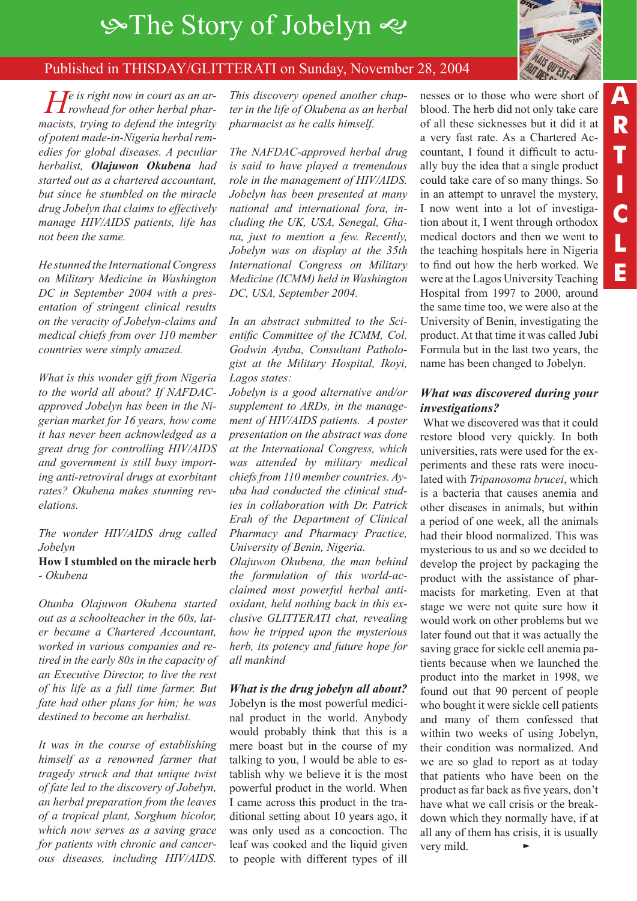# $\circ$ **The Story of Jobelyn**  $\circ$



### Published in THISDAY/GLITTERATI on Sunday, November 28, 2004

*He is right now in court as an ar-rowhead for other herbal pharmacists, trying to defend the integrity of potent made-in-Nigeria herbal remedies for global diseases. A peculiar herbalist, Olajuwon Okubena had started out as a chartered accountant, but since he stumbled on the miracle drug Jobelyn that claims to effectively manage HIV/AIDS patients, life has not been the same.*

*He stunned the International Congress on Military Medicine in Washington DC in September 2004 with a presentation of stringent clinical results on the veracity of Jobelyn-claims and medical chiefs from over 110 member countries were simply amazed.*

*What is this wonder gift from Nigeria to the world all about? If NAFDACapproved Jobelyn has been in the Nigerian market for 16 years, how come it has never been acknowledged as a great drug for controlling HIV/AIDS and government is still busy importing anti-retroviral drugs at exorbitant rates? Okubena makes stunning revelations.*

*The wonder HIV/AIDS drug called Jobelyn*

#### **How I stumbled on the miracle herb**  - *Okubena*

*Otunba Olajuwon Okubena started out as a schoolteacher in the 60s, later became a Chartered Accountant, worked in various companies and retired in the early 80s in the capacity of an Executive Director, to live the rest of his life as a full time farmer. But fate had other plans for him; he was destined to become an herbalist.* 

*It was in the course of establishing himself as a renowned farmer that tragedy struck and that unique twist of fate led to the discovery of Jobelyn, an herbal preparation from the leaves of a tropical plant, Sorghum bicolor, which now serves as a saving grace for patients with chronic and cancerous diseases, including HIV/AIDS.*

*This discovery opened another chapter in the life of Okubena as an herbal pharmacist as he calls himself.* 

*The NAFDAC-approved herbal drug is said to have played a tremendous role in the management of HIV/AIDS. Jobelyn has been presented at many national and international fora, including the UK, USA, Senegal, Ghana, just to mention a few. Recently, Jobelyn was on display at the 35th International Congress on Military Medicine (ICMM) held in Washington DC, USA, September 2004.*

*In an abstract submitted to the Scientific Committee of the ICMM, Col. Godwin Ayuba, Consultant Pathologist at the Military Hospital, Ikoyi, Lagos states:*

*Jobelyn is a good alternative and/or supplement to ARDs, in the management of HIV/AIDS patients. A poster presentation on the abstract was done at the International Congress, which was attended by military medical chiefs from 110 member countries. Ayuba had conducted the clinical studies in collaboration with Dr. Patrick Erah of the Department of Clinical Pharmacy and Pharmacy Practice, University of Benin, Nigeria.*

*Olajuwon Okubena, the man behind the formulation of this world-acclaimed most powerful herbal antioxidant, held nothing back in this exclusive GLITTERATI chat, revealing how he tripped upon the mysterious herb, its potency and future hope for all mankind*

*What is the drug jobelyn all about?*

Jobelyn is the most powerful medicinal product in the world. Anybody would probably think that this is a mere boast but in the course of my talking to you, I would be able to establish why we believe it is the most powerful product in the world. When I came across this product in the traditional setting about 10 years ago, it was only used as a concoction. The leaf was cooked and the liquid given to people with different types of ill

nesses or to those who were short of blood. The herb did not only take care of all these sicknesses but it did it at a very fast rate. As a Chartered Accountant, I found it difficult to actually buy the idea that a single product could take care of so many things. So in an attempt to unravel the mystery, I now went into a lot of investigation about it, I went through orthodox medical doctors and then we went to the teaching hospitals here in Nigeria to find out how the herb worked. We were at the Lagos University Teaching Hospital from 1997 to 2000, around the same time too, we were also at the University of Benin, investigating the product. At that time it was called Jubi Formula but in the last two years, the name has been changed to Jobelyn.

#### *What was discovered during your investigations?*

What we discovered was that it could restore blood very quickly. In both universities, rats were used for the experiments and these rats were inoculated with *Tripanosoma brucei*, which is a bacteria that causes anemia and other diseases in animals, but within a period of one week, all the animals had their blood normalized. This was mysterious to us and so we decided to develop the project by packaging the product with the assistance of pharmacists for marketing. Even at that stage we were not quite sure how it would work on other problems but we later found out that it was actually the saving grace for sickle cell anemia patients because when we launched the product into the market in 1998, we found out that 90 percent of people who bought it were sickle cell patients and many of them confessed that within two weeks of using Jobelyn, their condition was normalized. And we are so glad to report as at today that patients who have been on the product as far back as five years, don't have what we call crisis or the breakdown which they normally have, if at all any of them has crisis, it is usually very mild.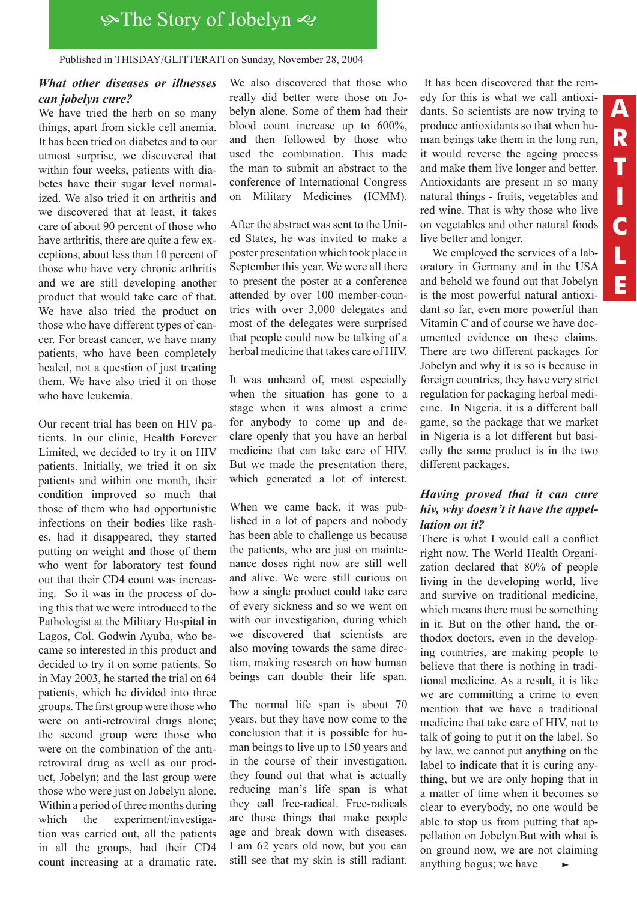# **S**The Story of Jobelyn

#### Published in THISDAY/GLITTERATI on Sunday, November 28, 2004

#### *What other diseases or illnesses can jobelyn cure?*

We have tried the herb on so many things, apart from sickle cell anemia. It has been tried on diabetes and to our utmost surprise, we discovered that within four weeks, patients with diabetes have their sugar level normalized. We also tried it on arthritis and we discovered that at least, it takes care of about 90 percent of those who have arthritis, there are quite a few exceptions, about less than 10 percent of those who have very chronic arthritis and we are still developing another product that would take care of that. We have also tried the product on those who have different types of cancer. For breast cancer, we have many patients, who have been completely healed, not a question of just treating them. We have also tried it on those who have leukemia.

Our recent trial has been on HIV patients. In our clinic, Health Forever Limited, we decided to try it on HIV patients. Initially, we tried it on six patients and within one month, their condition improved so much that those of them who had opportunistic infections on their bodies like rashes, had it disappeared, they started putting on weight and those of them who went for laboratory test found out that their CD4 count was increasing. So it was in the process of doing this that we were introduced to the Pathologist at the Military Hospital in Lagos, Col. Godwin Ayuba, who became so interested in this product and decided to try it on some patients. So in May 2003, he started the trial on 64 patients, which he divided into three groups. The first group were those who were on anti-retroviral drugs alone; the second group were those who were on the combination of the antiretroviral drug as well as our product, Jobelyn; and the last group were those who were just on Jobelyn alone. Within a period of three months during which the experiment/investigation was carried out, all the patients in all the groups, had their CD4 count increasing at a dramatic rate.

We also discovered that those who really did better were those on Jobelyn alone. Some of them had their blood count increase up to 600%, and then followed by those who used the combination. This made the man to submit an abstract to the conference of International Congress on Military Medicines (ICMM).

After the abstract was sent to the United States, he was invited to make a poster presentation which took place in September this year. We were all there to present the poster at a conference attended by over 100 member-countries with over 3,000 delegates and most of the delegates were surprised that people could now be talking of a herbal medicine that takes care of HIV.

It was unheard of, most especially when the situation has gone to a stage when it was almost a crime for anybody to come up and declare openly that you have an herbal medicine that can take care of HIV. But we made the presentation there, which generated a lot of interest.

When we came back, it was published in a lot of papers and nobody has been able to challenge us because the patients, who are just on maintenance doses right now are still well and alive. We were still curious on how a single product could take care of every sickness and so we went on with our investigation, during which we discovered that scientists are also moving towards the same direction, making research on how human beings can double their life span.

The normal life span is about 70 years, but they have now come to the conclusion that it is possible for human beings to live up to 150 years and in the course of their investigation, they found out that what is actually reducing man's life span is what they call free-radical. Free-radicals are those things that make people age and break down with diseases. I am 62 years old now, but you can still see that my skin is still radiant.

 It has been discovered that the remedy for this is what we call antioxidants. So scientists are now trying to produce antioxidants so that when human beings take them in the long run, it would reverse the ageing process and make them live longer and better. Antioxidants are present in so many natural things - fruits, vegetables and red wine. That is why those who live on vegetables and other natural foods live better and longer.

We employed the services of a laboratory in Germany and in the USA and behold we found out that Jobelyn is the most powerful natural antioxidant so far, even more powerful than Vitamin C and of course we have documented evidence on these claims. There are two different packages for Jobelyn and why it is so is because in foreign countries, they have very strict regulation for packaging herbal medicine. In Nigeria, it is a different ball game, so the package that we market in Nigeria is a lot different but basically the same product is in the two different packages.

### *Having proved that it can cure hiv, why doesn't it have the appellation on it?*

There is what I would call a conflict right now. The World Health Organization declared that 80% of people living in the developing world, live and survive on traditional medicine, which means there must be something in it. But on the other hand, the orthodox doctors, even in the developing countries, are making people to believe that there is nothing in traditional medicine. As a result, it is like we are committing a crime to even mention that we have a traditional medicine that take care of HIV, not to talk of going to put it on the label. So by law, we cannot put anything on the label to indicate that it is curing anything, but we are only hoping that in a matter of time when it becomes so clear to everybody, no one would be able to stop us from putting that appellation on Jobelyn.But with what is on ground now, we are not claiming anything bogus; we have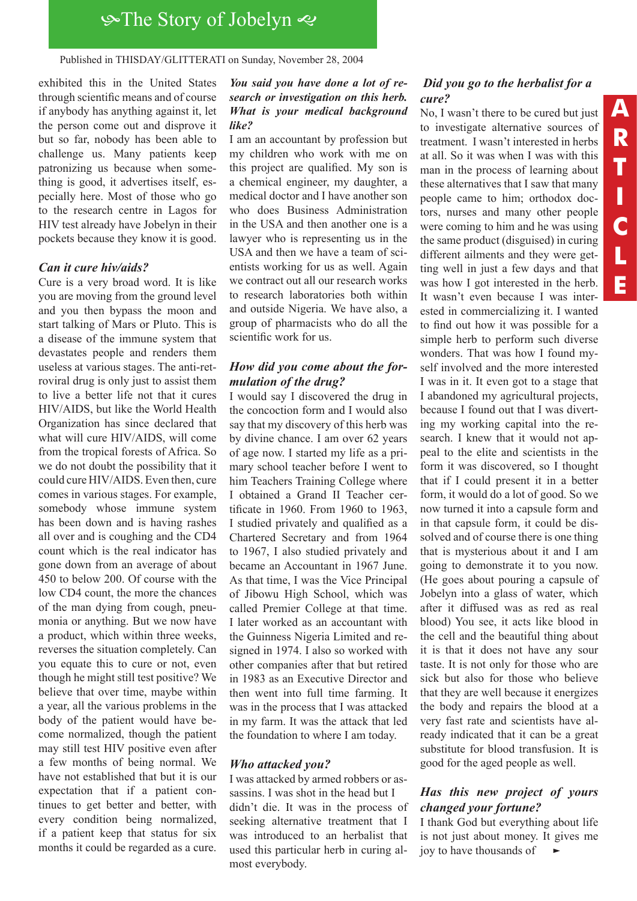## The Story of Jobelyn The Story of Jobelyn

Published in THISDAY/GLITTERATI on Sunday, November 28, 2004

exhibited this in the United States through scientific means and of course if anybody has anything against it, let the person come out and disprove it but so far, nobody has been able to challenge us. Many patients keep patronizing us because when something is good, it advertises itself, especially here. Most of those who go to the research centre in Lagos for HIV test already have Jobelyn in their pockets because they know it is good.

#### *Can it cure hiv/aids?*

Cure is a very broad word. It is like you are moving from the ground level and you then bypass the moon and start talking of Mars or Pluto. This is a disease of the immune system that devastates people and renders them useless at various stages. The anti-retroviral drug is only just to assist them to live a better life not that it cures HIV/AIDS, but like the World Health Organization has since declared that what will cure HIV/AIDS, will come from the tropical forests of Africa. So we do not doubt the possibility that it could cure HIV/AIDS. Even then, cure comes in various stages. For example, somebody whose immune system has been down and is having rashes all over and is coughing and the CD4 count which is the real indicator has gone down from an average of about 450 to below 200. Of course with the low CD4 count, the more the chances of the man dying from cough, pneumonia or anything. But we now have a product, which within three weeks, reverses the situation completely. Can you equate this to cure or not, even though he might still test positive? We believe that over time, maybe within a year, all the various problems in the body of the patient would have become normalized, though the patient may still test HIV positive even after a few months of being normal. We have not established that but it is our expectation that if a patient continues to get better and better, with every condition being normalized, if a patient keep that status for six months it could be regarded as a cure.

#### *You said you have done a lot of research or investigation on this herb. What is your medical background like?*

I am an accountant by profession but my children who work with me on this project are qualified. My son is a chemical engineer, my daughter, a medical doctor and I have another son who does Business Administration in the USA and then another one is a lawyer who is representing us in the USA and then we have a team of scientists working for us as well. Again we contract out all our research works to research laboratories both within and outside Nigeria. We have also, a group of pharmacists who do all the scientific work for us.

#### *How did you come about the formulation of the drug?*

I would say I discovered the drug in the concoction form and I would also say that my discovery of this herb was by divine chance. I am over 62 years of age now. I started my life as a primary school teacher before I went to him Teachers Training College where I obtained a Grand II Teacher certificate in 1960. From 1960 to 1963, I studied privately and qualified as a Chartered Secretary and from 1964 to 1967, I also studied privately and became an Accountant in 1967 June. As that time, I was the Vice Principal of Jibowu High School, which was called Premier College at that time. I later worked as an accountant with the Guinness Nigeria Limited and resigned in 1974. I also so worked with other companies after that but retired in 1983 as an Executive Director and then went into full time farming. It was in the process that I was attacked in my farm. It was the attack that led the foundation to where I am today.

#### *Who attacked you?*

I was attacked by armed robbers or assassins. I was shot in the head but I didn't die. It was in the process of seeking alternative treatment that I was introduced to an herbalist that used this particular herb in curing almost everybody.

#### *Did you go to the herbalist for a cure?*

No, I wasn't there to be cured but just to investigate alternative sources of treatment. I wasn't interested in herbs at all. So it was when I was with this man in the process of learning about these alternatives that I saw that many people came to him; orthodox doctors, nurses and many other people were coming to him and he was using the same product (disguised) in curing different ailments and they were getting well in just a few days and that was how I got interested in the herb. It wasn't even because I was interested in commercializing it. I wanted to find out how it was possible for a simple herb to perform such diverse wonders. That was how I found myself involved and the more interested I was in it. It even got to a stage that I abandoned my agricultural projects, because I found out that I was diverting my working capital into the research. I knew that it would not appeal to the elite and scientists in the form it was discovered, so I thought that if I could present it in a better form, it would do a lot of good. So we now turned it into a capsule form and in that capsule form, it could be dissolved and of course there is one thing that is mysterious about it and I am going to demonstrate it to you now. (He goes about pouring a capsule of Jobelyn into a glass of water, which after it diffused was as red as real blood) You see, it acts like blood in the cell and the beautiful thing about it is that it does not have any sour taste. It is not only for those who are sick but also for those who believe that they are well because it energizes the body and repairs the blood at a very fast rate and scientists have already indicated that it can be a great substitute for blood transfusion. It is good for the aged people as well.

#### *Has this new project of yours changed your fortune?*

I thank God but everything about life is not just about money. It gives me joy to have thousands of